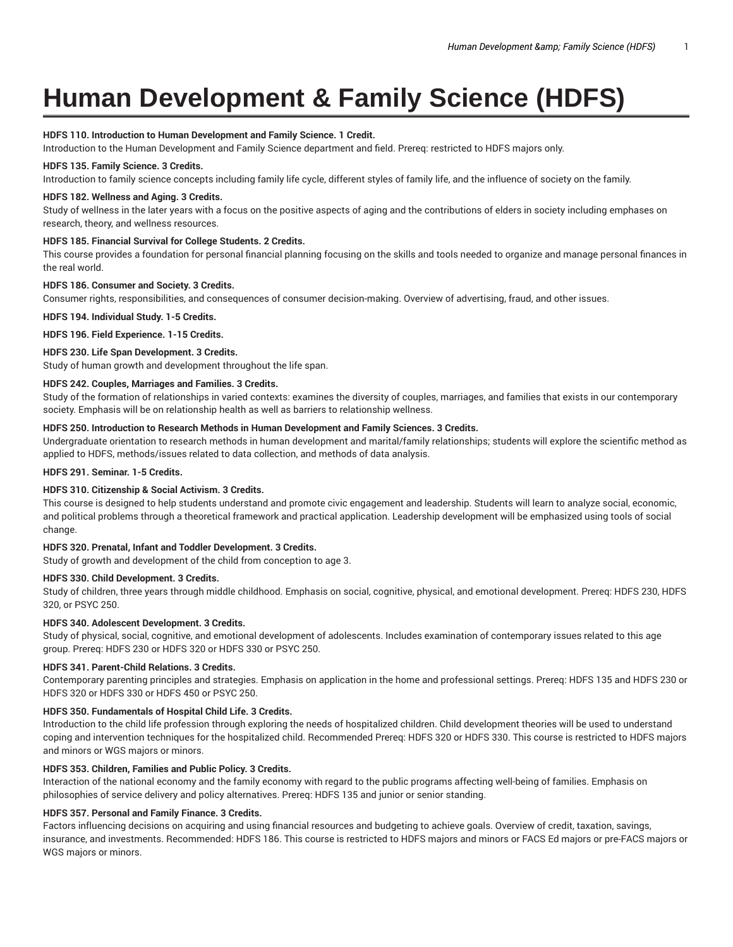# **Human Development & Family Science (HDFS)**

# **HDFS 110. Introduction to Human Development and Family Science. 1 Credit.**

Introduction to the Human Development and Family Science department and field. Prereq: restricted to HDFS majors only.

# **HDFS 135. Family Science. 3 Credits.**

Introduction to family science concepts including family life cycle, different styles of family life, and the influence of society on the family.

#### **HDFS 182. Wellness and Aging. 3 Credits.**

Study of wellness in the later years with a focus on the positive aspects of aging and the contributions of elders in society including emphases on research, theory, and wellness resources.

# **HDFS 185. Financial Survival for College Students. 2 Credits.**

This course provides a foundation for personal financial planning focusing on the skills and tools needed to organize and manage personal finances in the real world.

#### **HDFS 186. Consumer and Society. 3 Credits.**

Consumer rights, responsibilities, and consequences of consumer decision-making. Overview of advertising, fraud, and other issues.

**HDFS 194. Individual Study. 1-5 Credits.**

**HDFS 196. Field Experience. 1-15 Credits.**

# **HDFS 230. Life Span Development. 3 Credits.**

Study of human growth and development throughout the life span.

# **HDFS 242. Couples, Marriages and Families. 3 Credits.**

Study of the formation of relationships in varied contexts: examines the diversity of couples, marriages, and families that exists in our contemporary society. Emphasis will be on relationship health as well as barriers to relationship wellness.

#### **HDFS 250. Introduction to Research Methods in Human Development and Family Sciences. 3 Credits.**

Undergraduate orientation to research methods in human development and marital/family relationships; students will explore the scientific method as applied to HDFS, methods/issues related to data collection, and methods of data analysis.

**HDFS 291. Seminar. 1-5 Credits.**

# **HDFS 310. Citizenship & Social Activism. 3 Credits.**

This course is designed to help students understand and promote civic engagement and leadership. Students will learn to analyze social, economic, and political problems through a theoretical framework and practical application. Leadership development will be emphasized using tools of social change.

# **HDFS 320. Prenatal, Infant and Toddler Development. 3 Credits.**

Study of growth and development of the child from conception to age 3.

#### **HDFS 330. Child Development. 3 Credits.**

Study of children, three years through middle childhood. Emphasis on social, cognitive, physical, and emotional development. Prereq: HDFS 230, HDFS 320, or PSYC 250.

# **HDFS 340. Adolescent Development. 3 Credits.**

Study of physical, social, cognitive, and emotional development of adolescents. Includes examination of contemporary issues related to this age group. Prereq: HDFS 230 or HDFS 320 or HDFS 330 or PSYC 250.

#### **HDFS 341. Parent-Child Relations. 3 Credits.**

Contemporary parenting principles and strategies. Emphasis on application in the home and professional settings. Prereq: HDFS 135 and HDFS 230 or HDFS 320 or HDFS 330 or HDFS 450 or PSYC 250.

# **HDFS 350. Fundamentals of Hospital Child Life. 3 Credits.**

Introduction to the child life profession through exploring the needs of hospitalized children. Child development theories will be used to understand coping and intervention techniques for the hospitalized child. Recommended Prereq: HDFS 320 or HDFS 330. This course is restricted to HDFS majors and minors or WGS majors or minors.

#### **HDFS 353. Children, Families and Public Policy. 3 Credits.**

Interaction of the national economy and the family economy with regard to the public programs affecting well-being of families. Emphasis on philosophies of service delivery and policy alternatives. Prereq: HDFS 135 and junior or senior standing.

#### **HDFS 357. Personal and Family Finance. 3 Credits.**

Factors influencing decisions on acquiring and using financial resources and budgeting to achieve goals. Overview of credit, taxation, savings, insurance, and investments. Recommended: HDFS 186. This course is restricted to HDFS majors and minors or FACS Ed majors or pre-FACS majors or WGS majors or minors.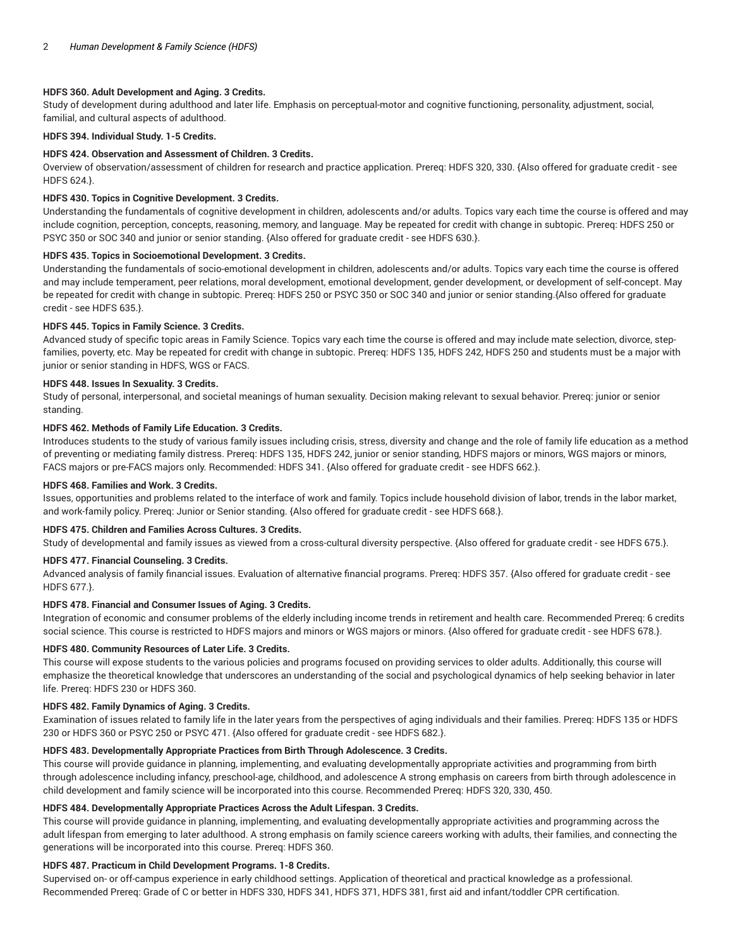# **HDFS 360. Adult Development and Aging. 3 Credits.**

Study of development during adulthood and later life. Emphasis on perceptual-motor and cognitive functioning, personality, adjustment, social, familial, and cultural aspects of adulthood.

**HDFS 394. Individual Study. 1-5 Credits.**

#### **HDFS 424. Observation and Assessment of Children. 3 Credits.**

Overview of observation/assessment of children for research and practice application. Prereq: HDFS 320, 330. {Also offered for graduate credit - see HDFS 624.}.

#### **HDFS 430. Topics in Cognitive Development. 3 Credits.**

Understanding the fundamentals of cognitive development in children, adolescents and/or adults. Topics vary each time the course is offered and may include cognition, perception, concepts, reasoning, memory, and language. May be repeated for credit with change in subtopic. Prereq: HDFS 250 or PSYC 350 or SOC 340 and junior or senior standing. {Also offered for graduate credit - see HDFS 630.}.

# **HDFS 435. Topics in Socioemotional Development. 3 Credits.**

Understanding the fundamentals of socio-emotional development in children, adolescents and/or adults. Topics vary each time the course is offered and may include temperament, peer relations, moral development, emotional development, gender development, or development of self-concept. May be repeated for credit with change in subtopic. Prereq: HDFS 250 or PSYC 350 or SOC 340 and junior or senior standing.{Also offered for graduate credit - see HDFS 635.}.

#### **HDFS 445. Topics in Family Science. 3 Credits.**

Advanced study of specific topic areas in Family Science. Topics vary each time the course is offered and may include mate selection, divorce, stepfamilies, poverty, etc. May be repeated for credit with change in subtopic. Prereq: HDFS 135, HDFS 242, HDFS 250 and students must be a major with junior or senior standing in HDFS, WGS or FACS.

#### **HDFS 448. Issues In Sexuality. 3 Credits.**

Study of personal, interpersonal, and societal meanings of human sexuality. Decision making relevant to sexual behavior. Prereq: junior or senior standing.

#### **HDFS 462. Methods of Family Life Education. 3 Credits.**

Introduces students to the study of various family issues including crisis, stress, diversity and change and the role of family life education as a method of preventing or mediating family distress. Prereq: HDFS 135, HDFS 242, junior or senior standing, HDFS majors or minors, WGS majors or minors, FACS majors or pre-FACS majors only. Recommended: HDFS 341. {Also offered for graduate credit - see HDFS 662.}.

#### **HDFS 468. Families and Work. 3 Credits.**

Issues, opportunities and problems related to the interface of work and family. Topics include household division of labor, trends in the labor market, and work-family policy. Prereq: Junior or Senior standing. {Also offered for graduate credit - see HDFS 668.}.

#### **HDFS 475. Children and Families Across Cultures. 3 Credits.**

Study of developmental and family issues as viewed from a cross-cultural diversity perspective. {Also offered for graduate credit - see HDFS 675.}.

#### **HDFS 477. Financial Counseling. 3 Credits.**

Advanced analysis of family financial issues. Evaluation of alternative financial programs. Prereq: HDFS 357. {Also offered for graduate credit - see HDFS 677.}.

#### **HDFS 478. Financial and Consumer Issues of Aging. 3 Credits.**

Integration of economic and consumer problems of the elderly including income trends in retirement and health care. Recommended Prereq: 6 credits social science. This course is restricted to HDFS majors and minors or WGS majors or minors. {Also offered for graduate credit - see HDFS 678.}.

#### **HDFS 480. Community Resources of Later Life. 3 Credits.**

This course will expose students to the various policies and programs focused on providing services to older adults. Additionally, this course will emphasize the theoretical knowledge that underscores an understanding of the social and psychological dynamics of help seeking behavior in later life. Prereq: HDFS 230 or HDFS 360.

#### **HDFS 482. Family Dynamics of Aging. 3 Credits.**

Examination of issues related to family life in the later years from the perspectives of aging individuals and their families. Prereq: HDFS 135 or HDFS 230 or HDFS 360 or PSYC 250 or PSYC 471. {Also offered for graduate credit - see HDFS 682.}.

## **HDFS 483. Developmentally Appropriate Practices from Birth Through Adolescence. 3 Credits.**

This course will provide guidance in planning, implementing, and evaluating developmentally appropriate activities and programming from birth through adolescence including infancy, preschool-age, childhood, and adolescence A strong emphasis on careers from birth through adolescence in child development and family science will be incorporated into this course. Recommended Prereq: HDFS 320, 330, 450.

# **HDFS 484. Developmentally Appropriate Practices Across the Adult Lifespan. 3 Credits.**

This course will provide guidance in planning, implementing, and evaluating developmentally appropriate activities and programming across the adult lifespan from emerging to later adulthood. A strong emphasis on family science careers working with adults, their families, and connecting the generations will be incorporated into this course. Prereq: HDFS 360.

### **HDFS 487. Practicum in Child Development Programs. 1-8 Credits.**

Supervised on- or off-campus experience in early childhood settings. Application of theoretical and practical knowledge as a professional. Recommended Prereq: Grade of C or better in HDFS 330, HDFS 341, HDFS 371, HDFS 381, first aid and infant/toddler CPR certification.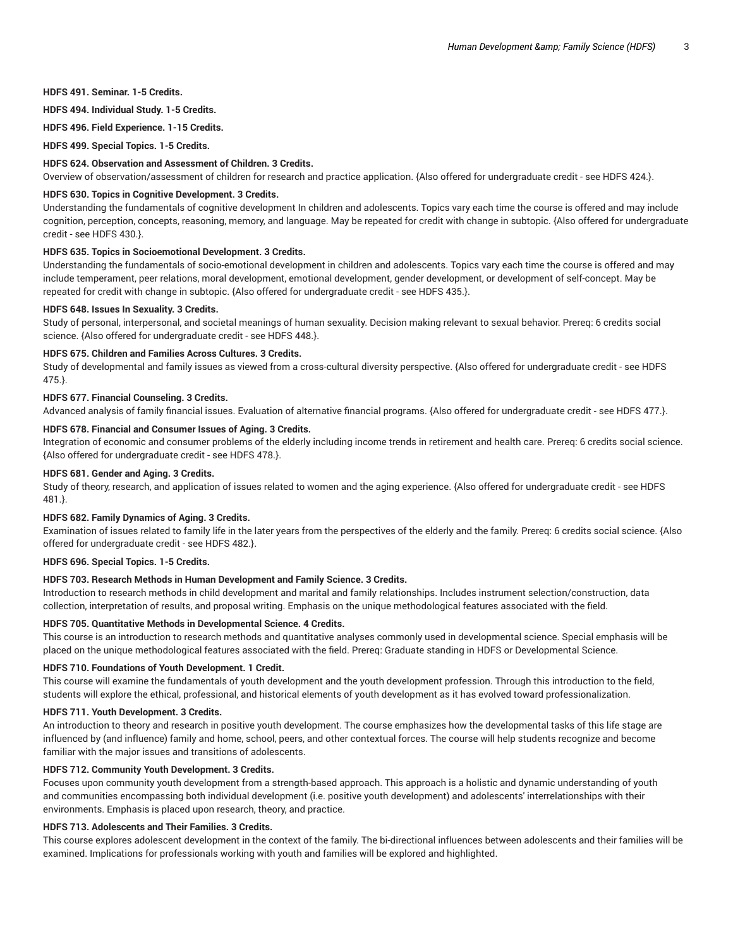# **HDFS 491. Seminar. 1-5 Credits.**

**HDFS 494. Individual Study. 1-5 Credits.**

**HDFS 496. Field Experience. 1-15 Credits.**

**HDFS 499. Special Topics. 1-5 Credits.**

#### **HDFS 624. Observation and Assessment of Children. 3 Credits.**

Overview of observation/assessment of children for research and practice application. {Also offered for undergraduate credit - see HDFS 424.}.

#### **HDFS 630. Topics in Cognitive Development. 3 Credits.**

Understanding the fundamentals of cognitive development In children and adolescents. Topics vary each time the course is offered and may include cognition, perception, concepts, reasoning, memory, and language. May be repeated for credit with change in subtopic. {Also offered for undergraduate credit - see HDFS 430.}.

# **HDFS 635. Topics in Socioemotional Development. 3 Credits.**

Understanding the fundamentals of socio-emotional development in children and adolescents. Topics vary each time the course is offered and may include temperament, peer relations, moral development, emotional development, gender development, or development of self-concept. May be repeated for credit with change in subtopic. {Also offered for undergraduate credit - see HDFS 435.}.

#### **HDFS 648. Issues In Sexuality. 3 Credits.**

Study of personal, interpersonal, and societal meanings of human sexuality. Decision making relevant to sexual behavior. Prereq: 6 credits social science. {Also offered for undergraduate credit - see HDFS 448.}.

# **HDFS 675. Children and Families Across Cultures. 3 Credits.**

Study of developmental and family issues as viewed from a cross-cultural diversity perspective. {Also offered for undergraduate credit - see HDFS 475.}.

#### **HDFS 677. Financial Counseling. 3 Credits.**

Advanced analysis of family financial issues. Evaluation of alternative financial programs. {Also offered for undergraduate credit - see HDFS 477.}.

# **HDFS 678. Financial and Consumer Issues of Aging. 3 Credits.**

Integration of economic and consumer problems of the elderly including income trends in retirement and health care. Prereq: 6 credits social science. {Also offered for undergraduate credit - see HDFS 478.}.

# **HDFS 681. Gender and Aging. 3 Credits.**

Study of theory, research, and application of issues related to women and the aging experience. {Also offered for undergraduate credit - see HDFS 481.}.

#### **HDFS 682. Family Dynamics of Aging. 3 Credits.**

Examination of issues related to family life in the later years from the perspectives of the elderly and the family. Prereq: 6 credits social science. {Also offered for undergraduate credit - see HDFS 482.}.

#### **HDFS 696. Special Topics. 1-5 Credits.**

# **HDFS 703. Research Methods in Human Development and Family Science. 3 Credits.**

Introduction to research methods in child development and marital and family relationships. Includes instrument selection/construction, data collection, interpretation of results, and proposal writing. Emphasis on the unique methodological features associated with the field.

#### **HDFS 705. Quantitative Methods in Developmental Science. 4 Credits.**

This course is an introduction to research methods and quantitative analyses commonly used in developmental science. Special emphasis will be placed on the unique methodological features associated with the field. Prereq: Graduate standing in HDFS or Developmental Science.

#### **HDFS 710. Foundations of Youth Development. 1 Credit.**

This course will examine the fundamentals of youth development and the youth development profession. Through this introduction to the field, students will explore the ethical, professional, and historical elements of youth development as it has evolved toward professionalization.

#### **HDFS 711. Youth Development. 3 Credits.**

An introduction to theory and research in positive youth development. The course emphasizes how the developmental tasks of this life stage are influenced by (and influence) family and home, school, peers, and other contextual forces. The course will help students recognize and become familiar with the major issues and transitions of adolescents.

# **HDFS 712. Community Youth Development. 3 Credits.**

Focuses upon community youth development from a strength-based approach. This approach is a holistic and dynamic understanding of youth and communities encompassing both individual development (i.e. positive youth development) and adolescents' interrelationships with their environments. Emphasis is placed upon research, theory, and practice.

# **HDFS 713. Adolescents and Their Families. 3 Credits.**

This course explores adolescent development in the context of the family. The bi-directional influences between adolescents and their families will be examined. Implications for professionals working with youth and families will be explored and highlighted.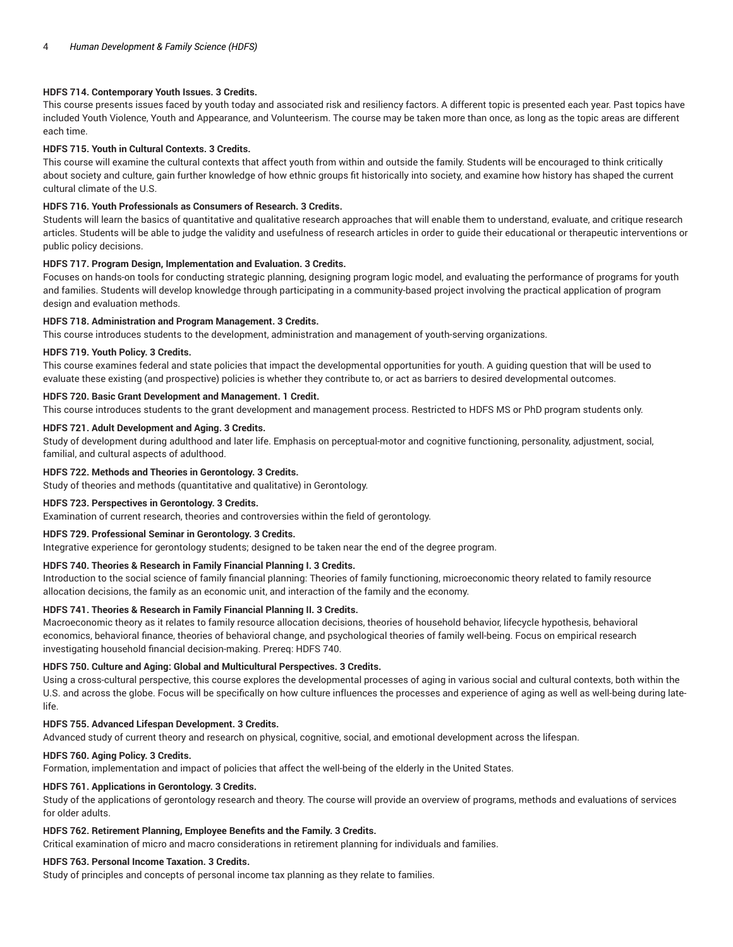# **HDFS 714. Contemporary Youth Issues. 3 Credits.**

This course presents issues faced by youth today and associated risk and resiliency factors. A different topic is presented each year. Past topics have included Youth Violence, Youth and Appearance, and Volunteerism. The course may be taken more than once, as long as the topic areas are different each time.

## **HDFS 715. Youth in Cultural Contexts. 3 Credits.**

This course will examine the cultural contexts that affect youth from within and outside the family. Students will be encouraged to think critically about society and culture, gain further knowledge of how ethnic groups fit historically into society, and examine how history has shaped the current cultural climate of the U.S.

# **HDFS 716. Youth Professionals as Consumers of Research. 3 Credits.**

Students will learn the basics of quantitative and qualitative research approaches that will enable them to understand, evaluate, and critique research articles. Students will be able to judge the validity and usefulness of research articles in order to guide their educational or therapeutic interventions or public policy decisions.

#### **HDFS 717. Program Design, Implementation and Evaluation. 3 Credits.**

Focuses on hands-on tools for conducting strategic planning, designing program logic model, and evaluating the performance of programs for youth and families. Students will develop knowledge through participating in a community-based project involving the practical application of program design and evaluation methods.

#### **HDFS 718. Administration and Program Management. 3 Credits.**

This course introduces students to the development, administration and management of youth-serving organizations.

## **HDFS 719. Youth Policy. 3 Credits.**

This course examines federal and state policies that impact the developmental opportunities for youth. A guiding question that will be used to evaluate these existing (and prospective) policies is whether they contribute to, or act as barriers to desired developmental outcomes.

#### **HDFS 720. Basic Grant Development and Management. 1 Credit.**

This course introduces students to the grant development and management process. Restricted to HDFS MS or PhD program students only.

#### **HDFS 721. Adult Development and Aging. 3 Credits.**

Study of development during adulthood and later life. Emphasis on perceptual-motor and cognitive functioning, personality, adjustment, social, familial, and cultural aspects of adulthood.

#### **HDFS 722. Methods and Theories in Gerontology. 3 Credits.**

Study of theories and methods (quantitative and qualitative) in Gerontology.

#### **HDFS 723. Perspectives in Gerontology. 3 Credits.**

Examination of current research, theories and controversies within the field of gerontology.

#### **HDFS 729. Professional Seminar in Gerontology. 3 Credits.**

Integrative experience for gerontology students; designed to be taken near the end of the degree program.

# **HDFS 740. Theories & Research in Family Financial Planning I. 3 Credits.**

Introduction to the social science of family financial planning: Theories of family functioning, microeconomic theory related to family resource allocation decisions, the family as an economic unit, and interaction of the family and the economy.

# **HDFS 741. Theories & Research in Family Financial Planning II. 3 Credits.**

Macroeconomic theory as it relates to family resource allocation decisions, theories of household behavior, lifecycle hypothesis, behavioral economics, behavioral finance, theories of behavioral change, and psychological theories of family well-being. Focus on empirical research investigating household financial decision-making. Prereq: HDFS 740.

#### **HDFS 750. Culture and Aging: Global and Multicultural Perspectives. 3 Credits.**

Using a cross-cultural perspective, this course explores the developmental processes of aging in various social and cultural contexts, both within the U.S. and across the globe. Focus will be specifically on how culture influences the processes and experience of aging as well as well-being during latelife.

#### **HDFS 755. Advanced Lifespan Development. 3 Credits.**

Advanced study of current theory and research on physical, cognitive, social, and emotional development across the lifespan.

# **HDFS 760. Aging Policy. 3 Credits.**

Formation, implementation and impact of policies that affect the well-being of the elderly in the United States.

#### **HDFS 761. Applications in Gerontology. 3 Credits.**

Study of the applications of gerontology research and theory. The course will provide an overview of programs, methods and evaluations of services for older adults.

#### **HDFS 762. Retirement Planning, Employee Benefits and the Family. 3 Credits.**

Critical examination of micro and macro considerations in retirement planning for individuals and families.

# **HDFS 763. Personal Income Taxation. 3 Credits.**

Study of principles and concepts of personal income tax planning as they relate to families.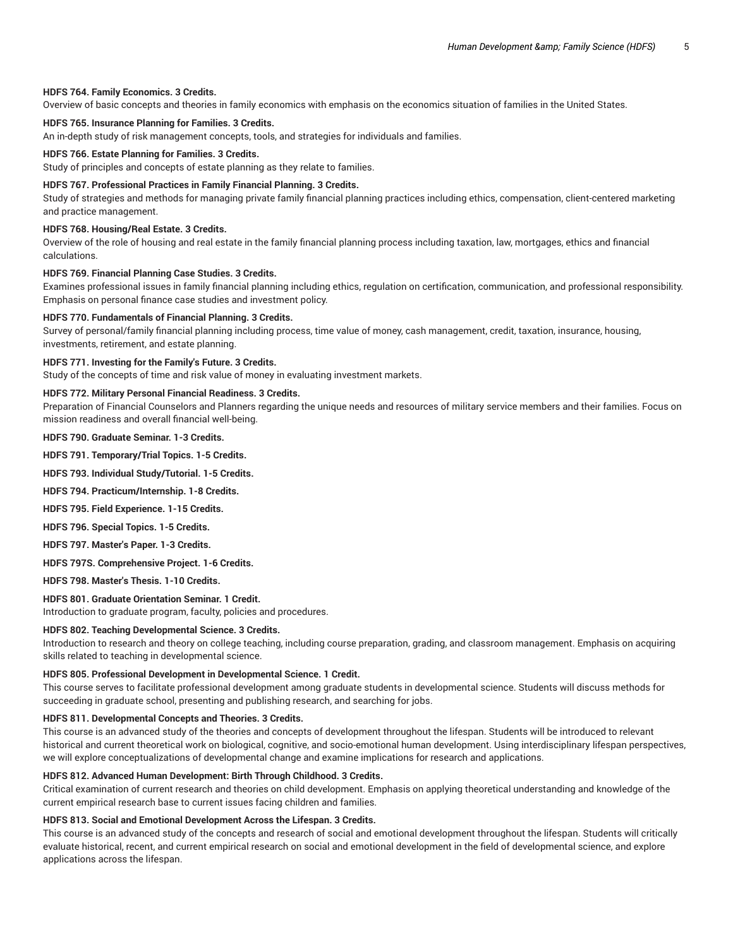#### **HDFS 764. Family Economics. 3 Credits.**

Overview of basic concepts and theories in family economics with emphasis on the economics situation of families in the United States.

# **HDFS 765. Insurance Planning for Families. 3 Credits.**

An in-depth study of risk management concepts, tools, and strategies for individuals and families.

#### **HDFS 766. Estate Planning for Families. 3 Credits.**

Study of principles and concepts of estate planning as they relate to families.

# **HDFS 767. Professional Practices in Family Financial Planning. 3 Credits.**

Study of strategies and methods for managing private family financial planning practices including ethics, compensation, client-centered marketing and practice management.

#### **HDFS 768. Housing/Real Estate. 3 Credits.**

Overview of the role of housing and real estate in the family financial planning process including taxation, law, mortgages, ethics and financial calculations.

#### **HDFS 769. Financial Planning Case Studies. 3 Credits.**

Examines professional issues in family financial planning including ethics, regulation on certification, communication, and professional responsibility. Emphasis on personal finance case studies and investment policy.

#### **HDFS 770. Fundamentals of Financial Planning. 3 Credits.**

Survey of personal/family financial planning including process, time value of money, cash management, credit, taxation, insurance, housing, investments, retirement, and estate planning.

#### **HDFS 771. Investing for the Family's Future. 3 Credits.**

Study of the concepts of time and risk value of money in evaluating investment markets.

# **HDFS 772. Military Personal Financial Readiness. 3 Credits.**

Preparation of Financial Counselors and Planners regarding the unique needs and resources of military service members and their families. Focus on mission readiness and overall financial well-being.

**HDFS 790. Graduate Seminar. 1-3 Credits.**

**HDFS 791. Temporary/Trial Topics. 1-5 Credits.**

**HDFS 793. Individual Study/Tutorial. 1-5 Credits.**

**HDFS 794. Practicum/Internship. 1-8 Credits.**

**HDFS 795. Field Experience. 1-15 Credits.**

**HDFS 796. Special Topics. 1-5 Credits.**

**HDFS 797. Master's Paper. 1-3 Credits.**

**HDFS 797S. Comprehensive Project. 1-6 Credits.**

**HDFS 798. Master's Thesis. 1-10 Credits.**

**HDFS 801. Graduate Orientation Seminar. 1 Credit.**

Introduction to graduate program, faculty, policies and procedures.

## **HDFS 802. Teaching Developmental Science. 3 Credits.**

Introduction to research and theory on college teaching, including course preparation, grading, and classroom management. Emphasis on acquiring skills related to teaching in developmental science.

## **HDFS 805. Professional Development in Developmental Science. 1 Credit.**

This course serves to facilitate professional development among graduate students in developmental science. Students will discuss methods for succeeding in graduate school, presenting and publishing research, and searching for jobs.

#### **HDFS 811. Developmental Concepts and Theories. 3 Credits.**

This course is an advanced study of the theories and concepts of development throughout the lifespan. Students will be introduced to relevant historical and current theoretical work on biological, cognitive, and socio-emotional human development. Using interdisciplinary lifespan perspectives, we will explore conceptualizations of developmental change and examine implications for research and applications.

#### **HDFS 812. Advanced Human Development: Birth Through Childhood. 3 Credits.**

Critical examination of current research and theories on child development. Emphasis on applying theoretical understanding and knowledge of the current empirical research base to current issues facing children and families.

# **HDFS 813. Social and Emotional Development Across the Lifespan. 3 Credits.**

This course is an advanced study of the concepts and research of social and emotional development throughout the lifespan. Students will critically evaluate historical, recent, and current empirical research on social and emotional development in the field of developmental science, and explore applications across the lifespan.